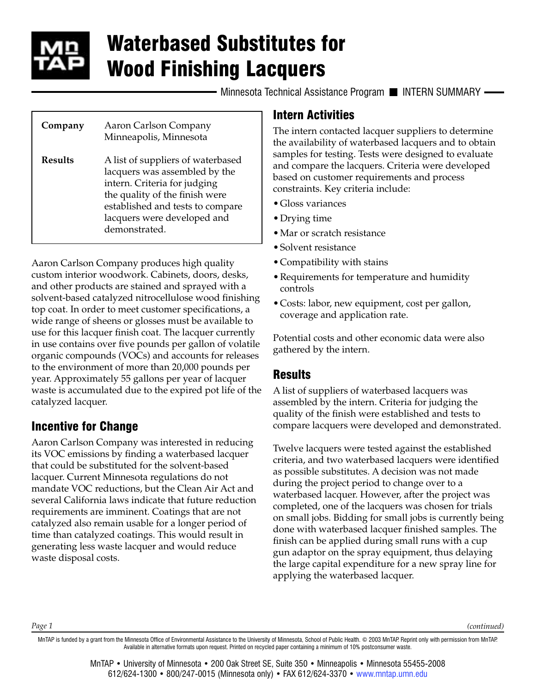

# Waterbased Substitutes for Wood Finishing Lacquers

Minnesota Technical Assistance Program II INTERN SUMMARY -

| Company        | Aaron Carlson Company<br>Minneapolis, Minnesota                                                                                                                                                                          |
|----------------|--------------------------------------------------------------------------------------------------------------------------------------------------------------------------------------------------------------------------|
| <b>Results</b> | A list of suppliers of waterbased<br>lacquers was assembled by the<br>intern. Criteria for judging<br>the quality of the finish were<br>established and tests to compare<br>lacquers were developed and<br>demonstrated. |

Aaron Carlson Company produces high quality custom interior woodwork. Cabinets, doors, desks, and other products are stained and sprayed with a solvent-based catalyzed nitrocellulose wood finishing top coat. In order to meet customer specifications, a wide range of sheens or glosses must be available to use for this lacquer finish coat. The lacquer currently in use contains over five pounds per gallon of volatile organic compounds (VOCs) and accounts for releases to the environment of more than 20,000 pounds per year. Approximately 55 gallons per year of lacquer waste is accumulated due to the expired pot life of the catalyzed lacquer.

# Incentive for Change

Aaron Carlson Company was interested in reducing its VOC emissions by finding a waterbased lacquer that could be substituted for the solvent-based lacquer. Current Minnesota regulations do not mandate VOC reductions, but the Clean Air Act and several California laws indicate that future reduction requirements are imminent. Coatings that are not catalyzed also remain usable for a longer period of time than catalyzed coatings. This would result in generating less waste lacquer and would reduce waste disposal costs.

#### Intern Activities

The intern contacted lacquer suppliers to determine the availability of waterbased lacquers and to obtain samples for testing. Tests were designed to evaluate and compare the lacquers. Criteria were developed based on customer requirements and process constraints. Key criteria include:

- •Gloss variances
- •Drying time
- •Mar or scratch resistance
- •Solvent resistance
- •Compatibility with stains
- •Requirements for temperature and humidity controls
- •Costs: labor, new equipment, cost per gallon, coverage and application rate.

Potential costs and other economic data were also gathered by the intern.

### **Results**

A list of suppliers of waterbased lacquers was assembled by the intern. Criteria for judging the quality of the finish were established and tests to compare lacquers were developed and demonstrated.

Twelve lacquers were tested against the established criteria, and two waterbased lacquers were identified as possible substitutes. A decision was not made during the project period to change over to a waterbased lacquer. However, after the project was completed, one of the lacquers was chosen for trials on small jobs. Bidding for small jobs is currently being done with waterbased lacquer finished samples. The finish can be applied during small runs with a cup gun adaptor on the spray equipment, thus delaying the large capital expenditure for a new spray line for applying the waterbased lacquer.

*Page 1*

*(continued)*

MnTAP is funded by a grant from the Minnesota Office of Environmental Assistance to the University of Minnesota, School of Public Health. © 2003 MnTAP. Reprint only with permission from MnTAP. Available in alternative formats upon request. Printed on recycled paper containing a minimum of 10% postconsumer waste.

> MnTAP • University of Minnesota • 200 Oak Street SE, Suite 350 • Minneapolis • Minnesota 55455-2008 612/624-1300 • 800/247-0015 (Minnesota only) • FAX 612/624-3370 • [www.mntap.umn.edu](http://www.mntap.umn.edu)